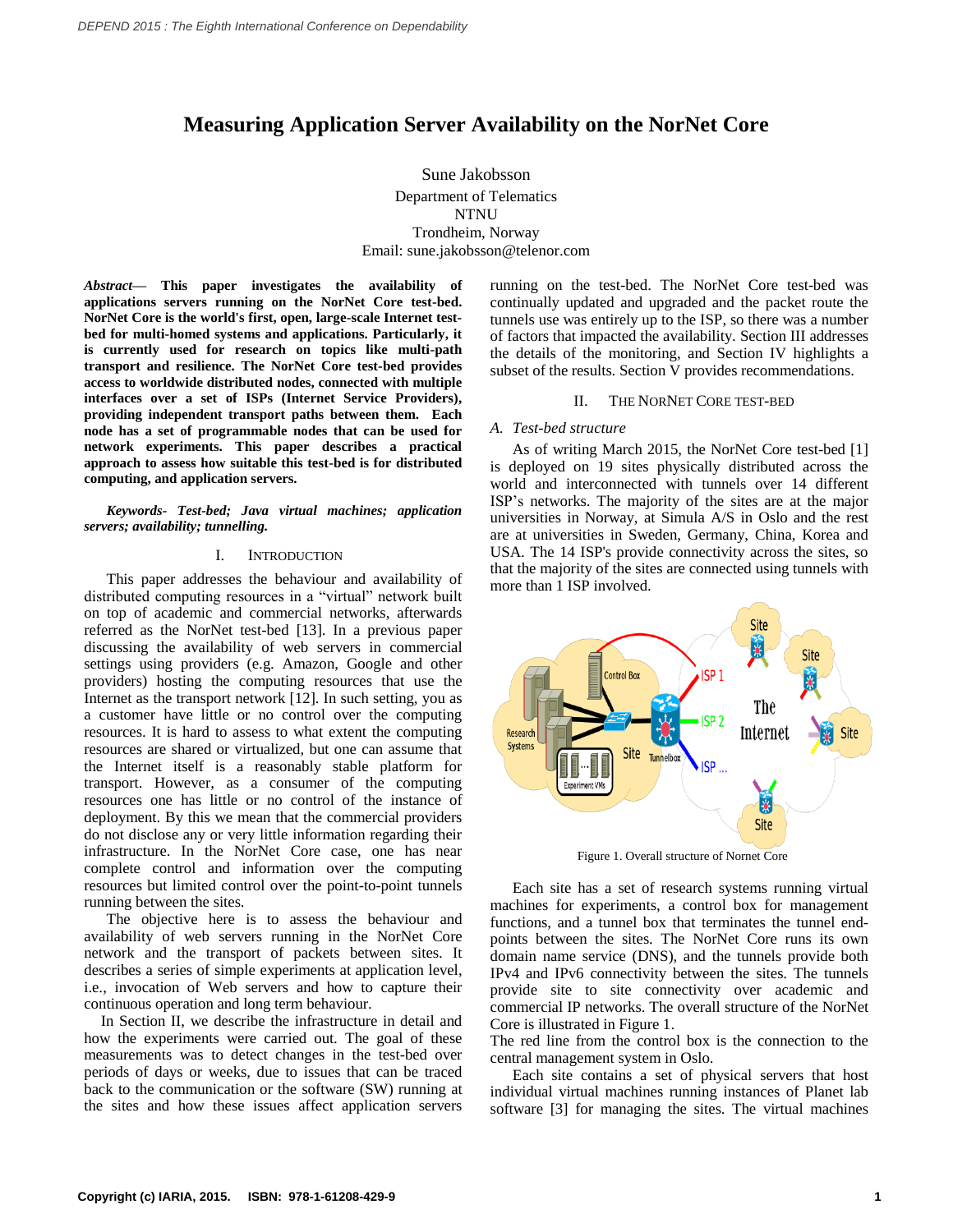# **Measuring Application Server Availability on the NorNet Core**

Sune Jakobsson Department of Telematics NTNU Trondheim, Norway Email: sune.jakobsson@telenor.com

*Abstract***— This paper investigates the availability of applications servers running on the NorNet Core test-bed. NorNet Core is the world's first, open, large-scale Internet testbed for multi-homed systems and applications. Particularly, it is currently used for research on topics like multi-path transport and resilience. The NorNet Core test-bed provides access to worldwide distributed nodes, connected with multiple interfaces over a set of ISPs (Internet Service Providers), providing independent transport paths between them. Each node has a set of programmable nodes that can be used for network experiments. This paper describes a practical approach to assess how suitable this test-bed is for distributed computing, and application servers.** 

*Keywords- Test-bed; Java virtual machines; application servers; availability; tunnelling.*

# I. INTRODUCTION

This paper addresses the behaviour and availability of distributed computing resources in a "virtual" network built on top of academic and commercial networks, afterwards referred as the NorNet test-bed [13]. In a previous paper discussing the availability of web servers in commercial settings using providers (e.g. Amazon, Google and other providers) hosting the computing resources that use the Internet as the transport network [12]. In such setting, you as a customer have little or no control over the computing resources. It is hard to assess to what extent the computing resources are shared or virtualized, but one can assume that the Internet itself is a reasonably stable platform for transport. However, as a consumer of the computing resources one has little or no control of the instance of deployment. By this we mean that the commercial providers do not disclose any or very little information regarding their infrastructure. In the NorNet Core case, one has near complete control and information over the computing resources but limited control over the point-to-point tunnels running between the sites.

The objective here is to assess the behaviour and availability of web servers running in the NorNet Core network and the transport of packets between sites. It describes a series of simple experiments at application level, i.e., invocation of Web servers and how to capture their continuous operation and long term behaviour.

In Section II, we describe the infrastructure in detail and how the experiments were carried out. The goal of these measurements was to detect changes in the test-bed over periods of days or weeks, due to issues that can be traced back to the communication or the software (SW) running at the sites and how these issues affect application servers

running on the test-bed. The NorNet Core test-bed was continually updated and upgraded and the packet route the tunnels use was entirely up to the ISP, so there was a number of factors that impacted the availability. Section III addresses the details of the monitoring, and Section IV highlights a subset of the results. Section V provides recommendations.

#### II. THE NORNET CORE TEST-BED

### *A. Test-bed structure*

As of writing March 2015, the NorNet Core test-bed [1] is deployed on 19 sites physically distributed across the world and interconnected with tunnels over 14 different ISP's networks. The majority of the sites are at the major universities in Norway, at Simula A/S in Oslo and the rest are at universities in Sweden, Germany, China, Korea and USA. The 14 ISP's provide connectivity across the sites, so that the majority of the sites are connected using tunnels with more than 1 ISP involved.



Figure 1. Overall structure of Nornet Core

Each site has a set of research systems running virtual machines for experiments, a control box for management functions, and a tunnel box that terminates the tunnel endpoints between the sites. The NorNet Core runs its own domain name service (DNS), and the tunnels provide both IPv4 and IPv6 connectivity between the sites. The tunnels provide site to site connectivity over academic and commercial IP networks. The overall structure of the NorNet Core is illustrated in Figure 1.

The red line from the control box is the connection to the central management system in Oslo.

Each site contains a set of physical servers that host individual virtual machines running instances of Planet lab software [3] for managing the sites. The virtual machines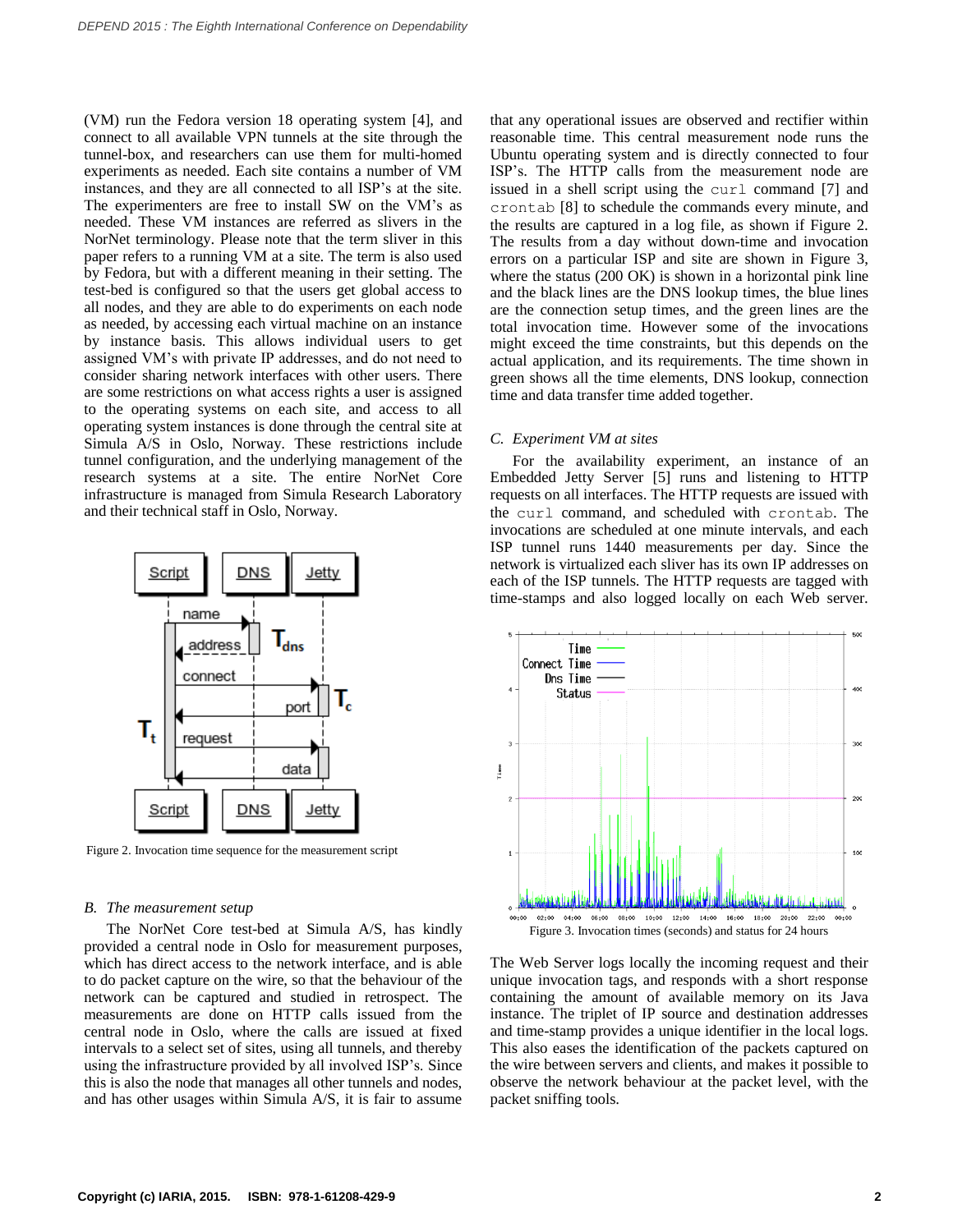(VM) run the Fedora version 18 operating system [4], and connect to all available VPN tunnels at the site through the tunnel-box, and researchers can use them for multi-homed experiments as needed. Each site contains a number of VM instances, and they are all connected to all ISP's at the site. The experimenters are free to install SW on the VM's as needed. These VM instances are referred as slivers in the NorNet terminology. Please note that the term sliver in this paper refers to a running VM at a site. The term is also used by Fedora, but with a different meaning in their setting. The test-bed is configured so that the users get global access to all nodes, and they are able to do experiments on each node as needed, by accessing each virtual machine on an instance by instance basis. This allows individual users to get assigned VM's with private IP addresses, and do not need to consider sharing network interfaces with other users. There are some restrictions on what access rights a user is assigned to the operating systems on each site, and access to all operating system instances is done through the central site at Simula A/S in Oslo, Norway. These restrictions include tunnel configuration, and the underlying management of the research systems at a site. The entire NorNet Core infrastructure is managed from Simula Research Laboratory and their technical staff in Oslo, Norway.



Figure 2. Invocation time sequence for the measurement script

#### *B. The measurement setup*

The NorNet Core test-bed at Simula A/S, has kindly provided a central node in Oslo for measurement purposes, which has direct access to the network interface, and is able to do packet capture on the wire, so that the behaviour of the network can be captured and studied in retrospect. The measurements are done on HTTP calls issued from the central node in Oslo, where the calls are issued at fixed intervals to a select set of sites, using all tunnels, and thereby using the infrastructure provided by all involved ISP's. Since this is also the node that manages all other tunnels and nodes, and has other usages within Simula A/S, it is fair to assume that any operational issues are observed and rectifier within reasonable time. This central measurement node runs the Ubuntu operating system and is directly connected to four ISP's. The HTTP calls from the measurement node are issued in a shell script using the curl command [7] and crontab [8] to schedule the commands every minute, and the results are captured in a log file, as shown if Figure 2. The results from a day without down-time and invocation errors on a particular ISP and site are shown in Figure 3, where the status (200 OK) is shown in a horizontal pink line and the black lines are the DNS lookup times, the blue lines are the connection setup times, and the green lines are the total invocation time. However some of the invocations might exceed the time constraints, but this depends on the actual application, and its requirements. The time shown in green shows all the time elements, DNS lookup, connection time and data transfer time added together.

# *C. Experiment VM at sites*

For the availability experiment, an instance of an Embedded Jetty Server [5] runs and listening to HTTP requests on all interfaces. The HTTP requests are issued with the curl command, and scheduled with crontab. The invocations are scheduled at one minute intervals, and each ISP tunnel runs 1440 measurements per day. Since the network is virtualized each sliver has its own IP addresses on each of the ISP tunnels. The HTTP requests are tagged with time-stamps and also logged locally on each Web server.



The Web Server logs locally the incoming request and their unique invocation tags, and responds with a short response containing the amount of available memory on its Java instance. The triplet of IP source and destination addresses and time-stamp provides a unique identifier in the local logs. This also eases the identification of the packets captured on the wire between servers and clients, and makes it possible to observe the network behaviour at the packet level, with the packet sniffing tools.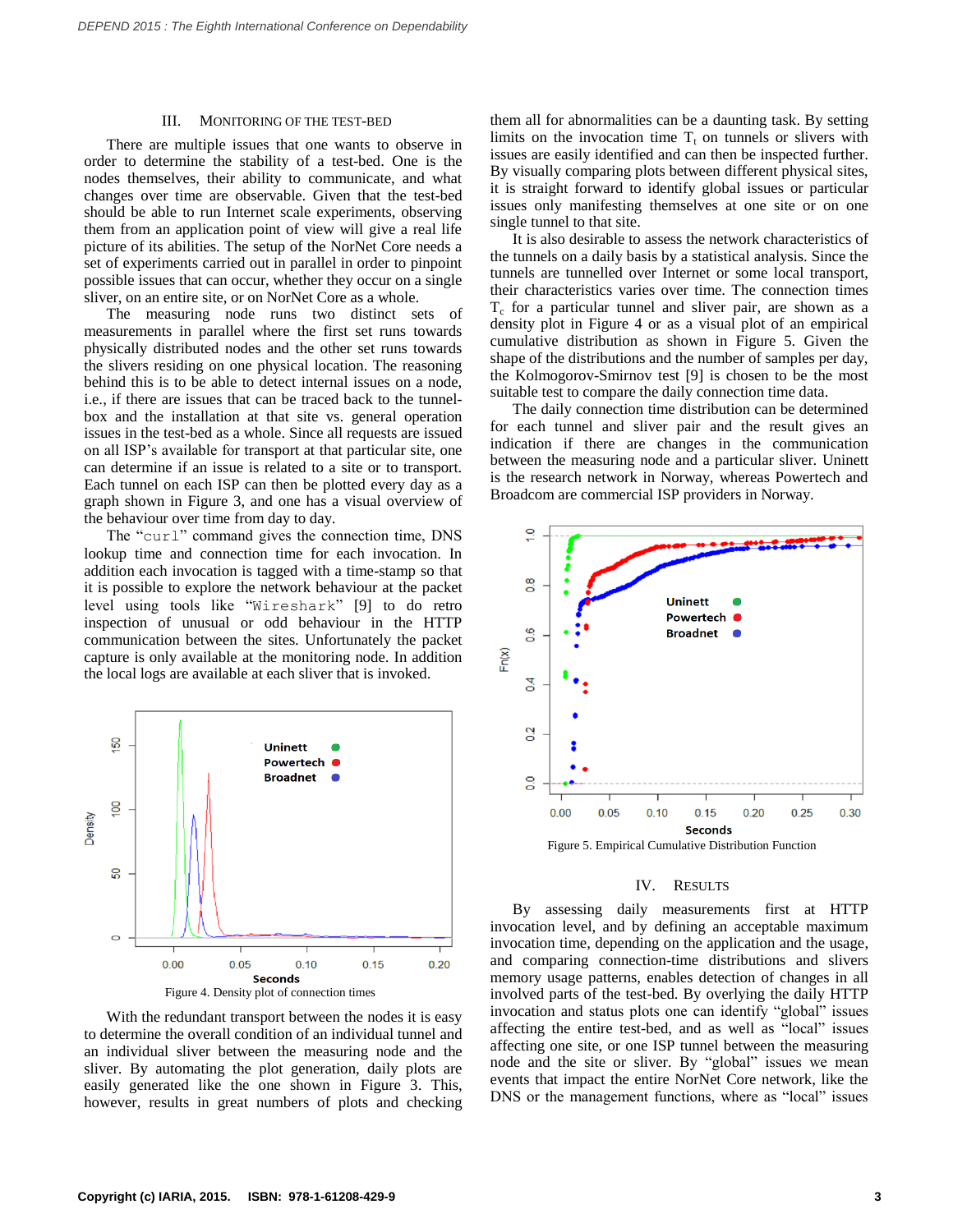#### III. MONITORING OF THE TEST-BED

There are multiple issues that one wants to observe in order to determine the stability of a test-bed. One is the nodes themselves, their ability to communicate, and what changes over time are observable. Given that the test-bed should be able to run Internet scale experiments, observing them from an application point of view will give a real life picture of its abilities. The setup of the NorNet Core needs a set of experiments carried out in parallel in order to pinpoint possible issues that can occur, whether they occur on a single sliver, on an entire site, or on NorNet Core as a whole.

The measuring node runs two distinct sets of measurements in parallel where the first set runs towards physically distributed nodes and the other set runs towards the slivers residing on one physical location. The reasoning behind this is to be able to detect internal issues on a node, i.e., if there are issues that can be traced back to the tunnelbox and the installation at that site vs. general operation issues in the test-bed as a whole. Since all requests are issued on all ISP's available for transport at that particular site, one can determine if an issue is related to a site or to transport. Each tunnel on each ISP can then be plotted every day as a graph shown in Figure 3, and one has a visual overview of the behaviour over time from day to day.

The "curl" command gives the connection time, DNS lookup time and connection time for each invocation. In addition each invocation is tagged with a time-stamp so that it is possible to explore the network behaviour at the packet level using tools like "Wireshark" [9] to do retro inspection of unusual or odd behaviour in the HTTP communication between the sites. Unfortunately the packet capture is only available at the monitoring node. In addition the local logs are available at each sliver that is invoked.



With the redundant transport between the nodes it is easy to determine the overall condition of an individual tunnel and an individual sliver between the measuring node and the sliver. By automating the plot generation, daily plots are easily generated like the one shown in Figure 3. This, however, results in great numbers of plots and checking them all for abnormalities can be a daunting task. By setting limits on the invocation time  $T_t$  on tunnels or slivers with issues are easily identified and can then be inspected further. By visually comparing plots between different physical sites, it is straight forward to identify global issues or particular issues only manifesting themselves at one site or on one single tunnel to that site.

It is also desirable to assess the network characteristics of the tunnels on a daily basis by a statistical analysis. Since the tunnels are tunnelled over Internet or some local transport, their characteristics varies over time. The connection times  $T_c$  for a particular tunnel and sliver pair, are shown as a density plot in Figure 4 or as a visual plot of an empirical cumulative distribution as shown in Figure 5. Given the shape of the distributions and the number of samples per day, the Kolmogorov-Smirnov test [9] is chosen to be the most suitable test to compare the daily connection time data.

The daily connection time distribution can be determined for each tunnel and sliver pair and the result gives an indication if there are changes in the communication between the measuring node and a particular sliver. Uninett is the research network in Norway, whereas Powertech and Broadcom are commercial ISP providers in Norway.



#### IV. RESULTS

By assessing daily measurements first at HTTP invocation level, and by defining an acceptable maximum invocation time, depending on the application and the usage, and comparing connection-time distributions and slivers memory usage patterns, enables detection of changes in all involved parts of the test-bed. By overlying the daily HTTP invocation and status plots one can identify "global" issues affecting the entire test-bed, and as well as "local" issues affecting one site, or one ISP tunnel between the measuring node and the site or sliver. By "global" issues we mean events that impact the entire NorNet Core network, like the DNS or the management functions, where as "local" issues